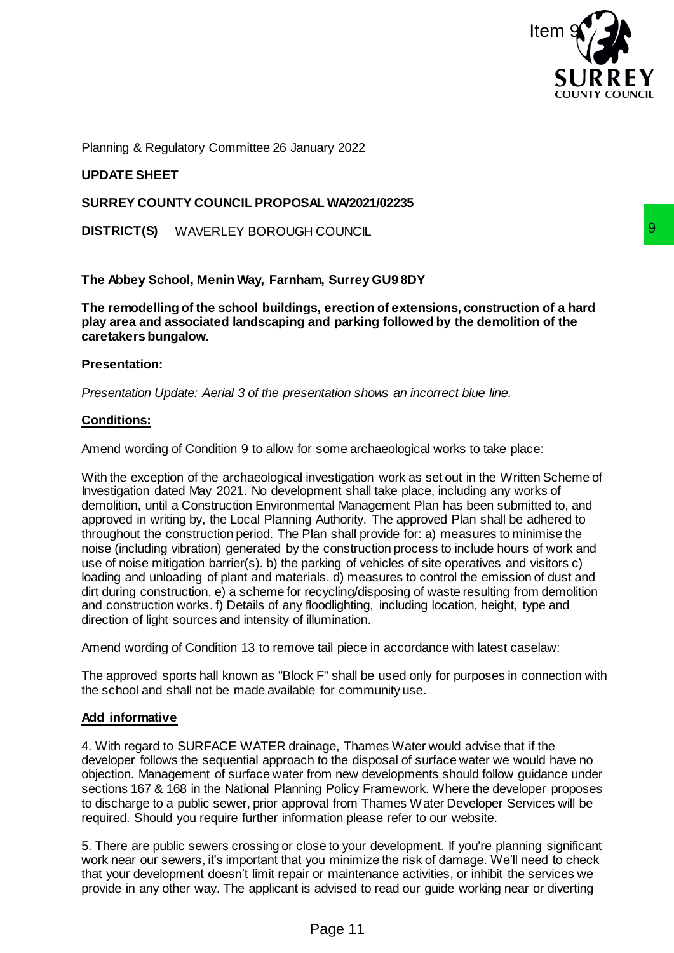

Planning & Regulatory Committee 26 January 2022

# **UPDATE SHEET**

### **SURREY COUNTY COUNCIL PROPOSAL WA/2021/02235**

**DISTRICT(S)** WAVERLEY BOROUGH COUNCIL

## **The Abbey School, Menin Way, Farnham, Surrey GU9 8DY**

**The remodelling of the school buildings, erection of extensions, construction of a hard play area and associated landscaping and parking followed by the demolition of the caretakers bungalow.**

#### **Presentation:**

*Presentation Update: Aerial 3 of the presentation shows an incorrect blue line.* 

## **Conditions:**

Amend wording of Condition 9 to allow for some archaeological works to take place:

With the exception of the archaeological investigation work as set out in the Written Scheme of Investigation dated May 2021. No development shall take place, including any works of demolition, until a Construction Environmental Management Plan has been submitted to, and approved in writing by, the Local Planning Authority. The approved Plan shall be adhered to throughout the construction period. The Plan shall provide for: a) measures to minimise the noise (including vibration) generated by the construction process to include hours of work and use of noise mitigation barrier(s). b) the parking of vehicles of site operatives and visitors c) loading and unloading of plant and materials. d) measures to control the emission of dust and dirt during construction. e) a scheme for recycling/disposing of waste resulting from demolition and construction works. f) Details of any floodlighting, including location, height, type and direction of light sources and intensity of illumination. In Surrey GU98DY<br>
Se, rection of extensions, construction of a hard<br>
se, rection of extensions, construction of a hard<br>
and parking followed by the demolition of the<br>
entation shows an incorrect blue line.<br>
Promote shall t

Amend wording of Condition 13 to remove tail piece in accordance with latest caselaw:

The approved sports hall known as "Block F" shall be used only for purposes in connection with the school and shall not be made available for community use.

#### **Add informative**

4. With regard to SURFACE WATER drainage, Thames Water would advise that if the developer follows the sequential approach to the disposal of surface water we would have no objection. Management of surface water from new developments should follow guidance under sections 167 & 168 in the National Planning Policy Framework. Where the developer proposes to discharge to a public sewer, prior approval from Thames Water Developer Services will be required. Should you require further information please refer to our website.

5. There are public sewers crossing or close to your development. If you're planning significant work near our sewers, it's important that you minimize the risk of damage. We'll need to check that your development doesn't limit repair or maintenance activities, or inhibit the services we provide in any other way. The applicant is advised to read our guide working near or diverting